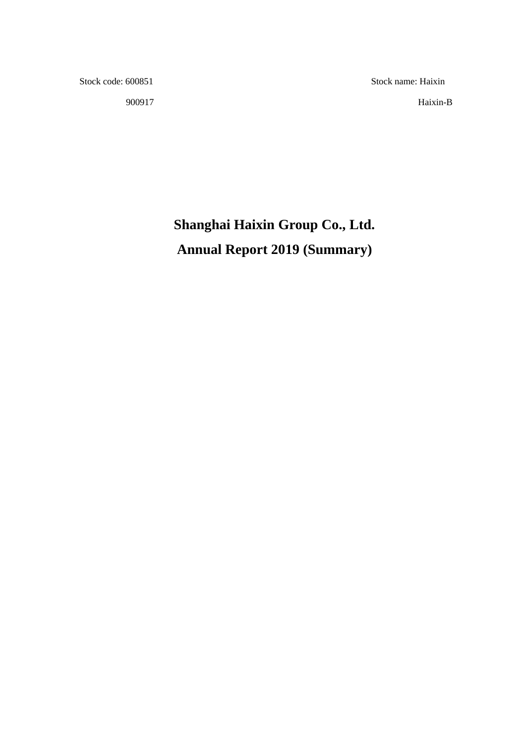900917 Haixin-B

Stock code: 600851 Stock name: Haixin

# **Shanghai Haixin Group Co., Ltd. Annual Report 2019 (Summary)**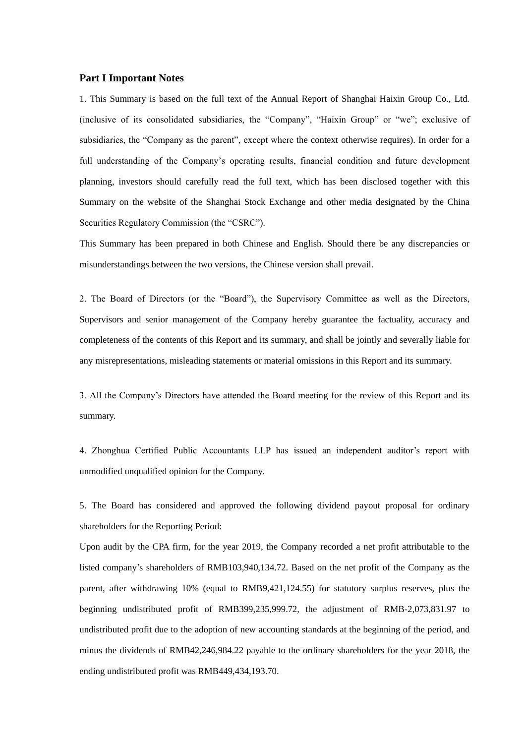#### **Part I Important Notes**

1. This Summary is based on the full text of the Annual Report of Shanghai Haixin Group Co., Ltd. (inclusive of its consolidated subsidiaries, the "Company", "Haixin Group" or "we"; exclusive of subsidiaries, the "Company as the parent", except where the context otherwise requires). In order for a full understanding of the Company's operating results, financial condition and future development planning, investors should carefully read the full text, which has been disclosed together with this Summary on the website of the Shanghai Stock Exchange and other media designated by the China Securities Regulatory Commission (the "CSRC").

This Summary has been prepared in both Chinese and English. Should there be any discrepancies or misunderstandings between the two versions, the Chinese version shall prevail.

2. The Board of Directors (or the "Board"), the Supervisory Committee as well as the Directors, Supervisors and senior management of the Company hereby guarantee the factuality, accuracy and completeness of the contents of this Report and its summary, and shall be jointly and severally liable for any misrepresentations, misleading statements or material omissions in this Report and its summary.

3. All the Company's Directors have attended the Board meeting for the review of this Report and its summary.

4. Zhonghua Certified Public Accountants LLP has issued an independent auditor's report with unmodified unqualified opinion for the Company.

5. The Board has considered and approved the following dividend payout proposal for ordinary shareholders for the Reporting Period:

Upon audit by the CPA firm, for the year 2019, the Company recorded a net profit attributable to the listed company's shareholders of RMB103,940,134.72. Based on the net profit of the Company as the parent, after withdrawing 10% (equal to RMB9,421,124.55) for statutory surplus reserves, plus the beginning undistributed profit of RMB399,235,999.72, the adjustment of RMB-2,073,831.97 to undistributed profit due to the adoption of new accounting standards at the beginning of the period, and minus the dividends of RMB42,246,984.22 payable to the ordinary shareholders for the year 2018, the ending undistributed profit was RMB449,434,193.70.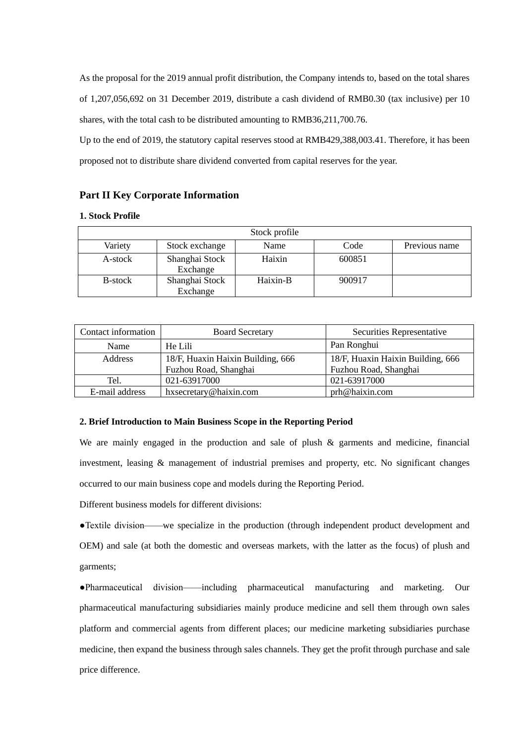As the proposal for the 2019 annual profit distribution, the Company intends to, based on the total shares of 1,207,056,692 on 31 December 2019, distribute a cash dividend of RMB0.30 (tax inclusive) per 10 shares, with the total cash to be distributed amounting to RMB36,211,700.76.

Up to the end of 2019, the statutory capital reserves stood at RMB429,388,003.41. Therefore, it has been proposed not to distribute share dividend converted from capital reserves for the year.

#### **Part II Key Corporate Information**

#### **1. Stock Profile**

|         |                            | Stock profile |        |               |
|---------|----------------------------|---------------|--------|---------------|
| Variety | Stock exchange             | Name          | Code   | Previous name |
| A-stock | Shanghai Stock<br>Exchange | Haixin        | 600851 |               |
| B-stock | Shanghai Stock             | Haixin-B      | 900917 |               |
|         | Exchange                   |               |        |               |

| Contact information | <b>Board Secretary</b>            | Securities Representative         |
|---------------------|-----------------------------------|-----------------------------------|
| Name                | He Lili                           | Pan Ronghui                       |
| Address             | 18/F, Huaxin Haixin Building, 666 | 18/F, Huaxin Haixin Building, 666 |
|                     | Fuzhou Road, Shanghai             | Fuzhou Road, Shanghai             |
| Tel.                | 021-63917000                      | 021-63917000                      |
| E-mail address      | hxsecretary@haixin.com            | prh@haixin.com                    |

#### **2. Brief Introduction to Main Business Scope in the Reporting Period**

We are mainly engaged in the production and sale of plush & garments and medicine, financial investment, leasing & management of industrial premises and property, etc. No significant changes occurred to our main business cope and models during the Reporting Period.

Different business models for different divisions:

●Textile division——we specialize in the production (through independent product development and OEM) and sale (at both the domestic and overseas markets, with the latter as the focus) of plush and garments;

●Pharmaceutical division——including pharmaceutical manufacturing and marketing. Our pharmaceutical manufacturing subsidiaries mainly produce medicine and sell them through own sales platform and commercial agents from different places; our medicine marketing subsidiaries purchase medicine, then expand the business through sales channels. They get the profit through purchase and sale price difference.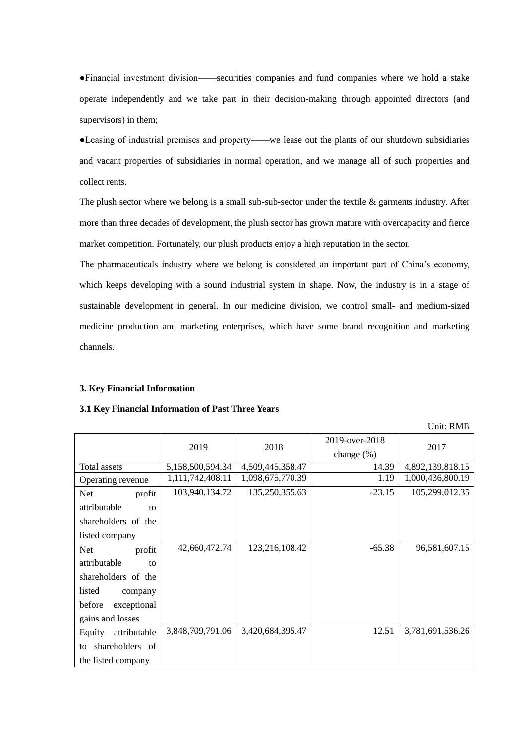●Financial investment division——securities companies and fund companies where we hold a stake operate independently and we take part in their decision-making through appointed directors (and supervisors) in them;

●Leasing of industrial premises and property——we lease out the plants of our shutdown subsidiaries and vacant properties of subsidiaries in normal operation, and we manage all of such properties and collect rents.

The plush sector where we belong is a small sub-sub-sector under the textile & garments industry. After more than three decades of development, the plush sector has grown mature with overcapacity and fierce market competition. Fortunately, our plush products enjoy a high reputation in the sector.

The pharmaceuticals industry where we belong is considered an important part of China's economy, which keeps developing with a sound industrial system in shape. Now, the industry is in a stage of sustainable development in general. In our medicine division, we control small- and medium-sized medicine production and marketing enterprises, which have some brand recognition and marketing channels.

#### **3. Key Financial Information**

#### **3.1 Key Financial Information of Past Three Years**

2019 2018 2019-over-2018 change (%) 2017 Total assets 5,158,500,594.34 4,509,445,358.47 14.39 4,892,139,818.15 Operating revenue 1,111,742,408.11 1,098,675,770.39 1.19 1,000,436,800.19 Net profit attributable to shareholders of the listed company 103,940,134.72 135,250,355.63 -23.15 105,299,012.35 Net profit attributable to shareholders of the listed company before exceptional gains and losses 42,660,472,74 123,216,108,42 -65.38 96,581,607,15 Equity attributable to shareholders of the listed company 3,848,709,791.06 3,420,684,395.47 12.51 3,781,691,536.26

Unit: RMB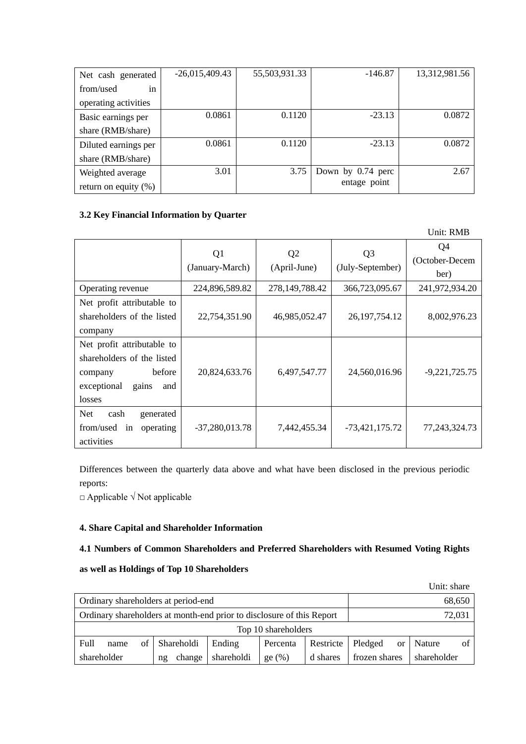| Net cash generated      | $-26,015,409.43$ | 55,503,931.33 | $-146.87$         | 13,312,981.56 |
|-------------------------|------------------|---------------|-------------------|---------------|
| from/used<br>in         |                  |               |                   |               |
| operating activities    |                  |               |                   |               |
| Basic earnings per      | 0.0861           | 0.1120        | $-23.13$          | 0.0872        |
| share (RMB/share)       |                  |               |                   |               |
| Diluted earnings per    | 0.0861           | 0.1120        | $-23.13$          | 0.0872        |
| share (RMB/share)       |                  |               |                   |               |
| Weighted average        | 3.01             | 3.75          | Down by 0.74 perc | 2.67          |
| return on equity $(\%)$ |                  |               | entage point      |               |

## **3.2 Key Financial Information by Quarter**

|                                                                                                                        |                                   |                                |                                    | Unit: RMB                    |
|------------------------------------------------------------------------------------------------------------------------|-----------------------------------|--------------------------------|------------------------------------|------------------------------|
|                                                                                                                        | Q <sub>1</sub><br>(January-March) | Q <sub>2</sub><br>(April-June) | Q <sub>3</sub><br>(July-September) | Q4<br>(October-Decem<br>ber) |
| Operating revenue                                                                                                      | 224,896,589.82                    | 278,149,788.42                 | 366,723,095.67                     | 241,972,934.20               |
| Net profit attributable to<br>shareholders of the listed<br>company                                                    | 22,754,351.90                     | 46,985,052.47                  | 26, 197, 754. 12                   | 8,002,976.23                 |
| Net profit attributable to<br>shareholders of the listed<br>before<br>company<br>exceptional<br>gains<br>and<br>losses | 20,824,633.76                     | 6,497,547.77                   | 24,560,016.96                      | $-9,221,725.75$              |
| <b>Net</b><br>cash<br>generated<br>from/used<br>operating<br>in<br>activities                                          | $-37,280,013.78$                  | 7,442,455.34                   | -73,421,175.72                     | 77, 243, 324. 73             |

Differences between the quarterly data above and what have been disclosed in the previous periodic reports:

□ Applicable √ Not applicable

## **4. Share Capital and Shareholder Information**

## **4.1 Numbers of Common Shareholders and Preferred Shareholders with Resumed Voting Rights**

## **as well as Holdings of Top 10 Shareholders**

|                                                                       |      |    |              |            |          |           |               |               | Unit: share |    |
|-----------------------------------------------------------------------|------|----|--------------|------------|----------|-----------|---------------|---------------|-------------|----|
| Ordinary shareholders at period-end                                   |      |    |              |            |          | 68,650    |               |               |             |    |
| Ordinary shareholders at month-end prior to disclosure of this Report |      |    |              |            | 72,031   |           |               |               |             |    |
| Top 10 shareholders                                                   |      |    |              |            |          |           |               |               |             |    |
| Full                                                                  | name | οf | Shareholdi   | Ending     | Percenta | Restricte | Pledged       | <sub>or</sub> | Nature      | of |
| shareholder                                                           |      |    | change<br>ng | shareholdi | ge(%)    | d shares  | frozen shares |               | shareholder |    |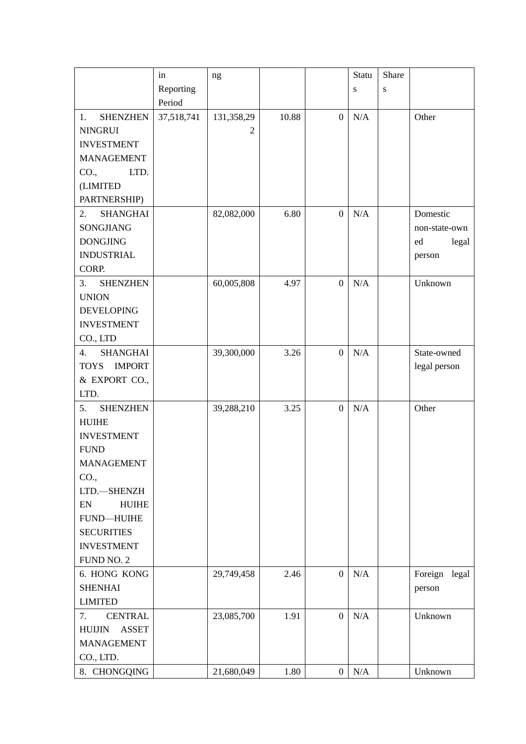|                               | in         | ng             |       |                  | Statu     | Share     |               |
|-------------------------------|------------|----------------|-------|------------------|-----------|-----------|---------------|
|                               | Reporting  |                |       |                  | ${\bf S}$ | ${\bf S}$ |               |
|                               | Period     |                |       |                  |           |           |               |
| <b>SHENZHEN</b><br>1.         | 37,518,741 | 131,358,29     | 10.88 | $\boldsymbol{0}$ | N/A       |           | Other         |
| <b>NINGRUI</b>                |            | $\overline{2}$ |       |                  |           |           |               |
| <b>INVESTMENT</b>             |            |                |       |                  |           |           |               |
| <b>MANAGEMENT</b>             |            |                |       |                  |           |           |               |
| CO.,<br>LTD.                  |            |                |       |                  |           |           |               |
| (LIMITED                      |            |                |       |                  |           |           |               |
| PARTNERSHIP)                  |            |                |       |                  |           |           |               |
| <b>SHANGHAI</b><br>2.         |            | 82,082,000     | 6.80  | $\boldsymbol{0}$ | N/A       |           | Domestic      |
| SONGJIANG                     |            |                |       |                  |           |           | non-state-own |
| <b>DONGJING</b>               |            |                |       |                  |           |           | legal<br>ed   |
| <b>INDUSTRIAL</b>             |            |                |       |                  |           |           | person        |
| CORP.                         |            |                |       |                  |           |           |               |
| 3.<br><b>SHENZHEN</b>         |            | 60,005,808     | 4.97  | $\boldsymbol{0}$ | N/A       |           | Unknown       |
| <b>UNION</b>                  |            |                |       |                  |           |           |               |
| <b>DEVELOPING</b>             |            |                |       |                  |           |           |               |
| <b>INVESTMENT</b>             |            |                |       |                  |           |           |               |
| CO., LTD                      |            |                |       |                  |           |           |               |
| <b>SHANGHAI</b><br>4.         |            | 39,300,000     | 3.26  | $\boldsymbol{0}$ | N/A       |           | State-owned   |
| <b>IMPORT</b><br><b>TOYS</b>  |            |                |       |                  |           |           | legal person  |
| & EXPORT CO.,                 |            |                |       |                  |           |           |               |
| LTD.                          |            |                |       |                  |           |           |               |
| 5.<br><b>SHENZHEN</b>         |            | 39,288,210     | 3.25  | $\boldsymbol{0}$ | N/A       |           | Other         |
| <b>HUIHE</b>                  |            |                |       |                  |           |           |               |
| <b>INVESTMENT</b>             |            |                |       |                  |           |           |               |
| <b>FUND</b>                   |            |                |       |                  |           |           |               |
| <b>MANAGEMENT</b>             |            |                |       |                  |           |           |               |
| CO.,                          |            |                |       |                  |           |           |               |
| LTD.-SHENZH                   |            |                |       |                  |           |           |               |
| <b>HUIHE</b><br>EN            |            |                |       |                  |           |           |               |
| <b>FUND-HUIHE</b>             |            |                |       |                  |           |           |               |
| <b>SECURITIES</b>             |            |                |       |                  |           |           |               |
| <b>INVESTMENT</b>             |            |                |       |                  |           |           |               |
| FUND NO. 2                    |            |                |       |                  |           |           |               |
| 6. HONG KONG                  |            | 29,749,458     | 2.46  | $\overline{0}$   | N/A       |           | Foreign legal |
| <b>SHENHAI</b>                |            |                |       |                  |           |           |               |
| <b>LIMITED</b>                |            |                |       |                  |           |           | person        |
| 7.<br><b>CENTRAL</b>          |            | 23,085,700     | 1.91  | $\overline{0}$   | N/A       |           | Unknown       |
| <b>ASSET</b><br><b>HUIJIN</b> |            |                |       |                  |           |           |               |
|                               |            |                |       |                  |           |           |               |
| <b>MANAGEMENT</b>             |            |                |       |                  |           |           |               |
| CO., LTD.                     |            |                |       |                  |           |           |               |
| 8. CHONGQING                  |            | 21,680,049     | 1.80  | $\boldsymbol{0}$ | N/A       |           | Unknown       |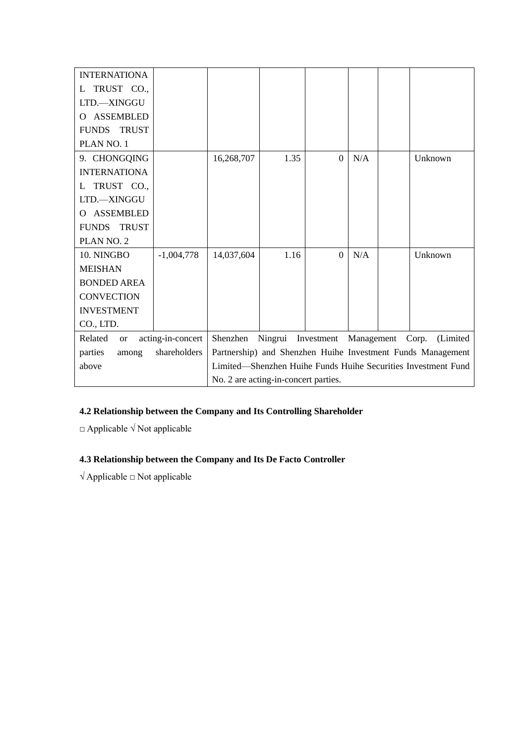| <b>INTERNATIONA</b>                   |                   |                                                               |                    |                  |            |  |                   |
|---------------------------------------|-------------------|---------------------------------------------------------------|--------------------|------------------|------------|--|-------------------|
| TRUST CO.,<br>L                       |                   |                                                               |                    |                  |            |  |                   |
| LTD.-XINGGU                           |                   |                                                               |                    |                  |            |  |                   |
| <b>ASSEMBLED</b><br>Ω                 |                   |                                                               |                    |                  |            |  |                   |
| <b>TRUST</b><br><b>FUNDS</b>          |                   |                                                               |                    |                  |            |  |                   |
| PLAN NO. 1                            |                   |                                                               |                    |                  |            |  |                   |
| 9. CHONGQING                          |                   | 16,268,707                                                    | 1.35               | $\boldsymbol{0}$ | N/A        |  | Unknown           |
| <b>INTERNATIONA</b>                   |                   |                                                               |                    |                  |            |  |                   |
| TRUST CO.,<br>L                       |                   |                                                               |                    |                  |            |  |                   |
| LTD.-XINGGU                           |                   |                                                               |                    |                  |            |  |                   |
| <b>ASSEMBLED</b><br>$\mathbf{\Omega}$ |                   |                                                               |                    |                  |            |  |                   |
| <b>TRUST</b><br><b>FUNDS</b>          |                   |                                                               |                    |                  |            |  |                   |
| PLAN NO. 2                            |                   |                                                               |                    |                  |            |  |                   |
| 10. NINGBO                            | $-1,004,778$      | 14,037,604                                                    | 1.16               | $\overline{0}$   | N/A        |  | Unknown           |
| <b>MEISHAN</b>                        |                   |                                                               |                    |                  |            |  |                   |
| <b>BONDED AREA</b>                    |                   |                                                               |                    |                  |            |  |                   |
| <b>CONVECTION</b>                     |                   |                                                               |                    |                  |            |  |                   |
| <b>INVESTMENT</b>                     |                   |                                                               |                    |                  |            |  |                   |
| CO., LTD.                             |                   |                                                               |                    |                  |            |  |                   |
| Related<br><b>or</b>                  | acting-in-concert | Shenzhen                                                      | Ningrui Investment |                  | Management |  | Corp.<br>(Limited |
| parties<br>among                      | shareholders      | Partnership) and Shenzhen Huihe Investment Funds Management   |                    |                  |            |  |                   |
| above                                 |                   | Limited-Shenzhen Huihe Funds Huihe Securities Investment Fund |                    |                  |            |  |                   |
|                                       |                   | No. 2 are acting-in-concert parties.                          |                    |                  |            |  |                   |

# **4.2 Relationship between the Company and Its Controlling Shareholder**

 $\Box$  Applicable  $\sqrt{\phantom{a}}$  Not applicable

# **4.3 Relationship between the Company and Its De Facto Controller**

√ Applicable □ Not applicable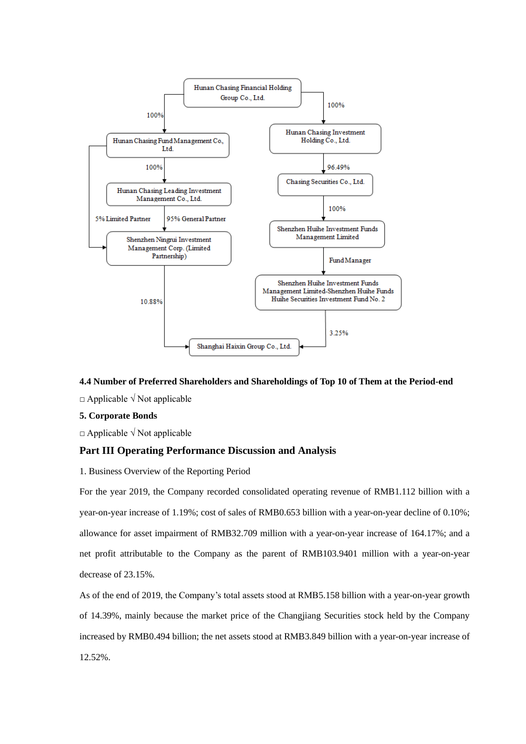

## **4.4 Number of Preferred Shareholders and Shareholdings of Top 10 of Them at the Period-end**

□ Applicable √ Not applicable

#### **5. Corporate Bonds**

□ Applicable √ Not applicable

## **Part III Operating Performance Discussion and Analysis**

1. Business Overview of the Reporting Period

For the year 2019, the Company recorded consolidated operating revenue of RMB1.112 billion with a year-on-year increase of 1.19%; cost of sales of RMB0.653 billion with a year-on-year decline of 0.10%; allowance for asset impairment of RMB32.709 million with a year-on-year increase of 164.17%; and a net profit attributable to the Company as the parent of RMB103.9401 million with a year-on-year decrease of 23.15%.

As of the end of 2019, the Company's total assets stood at RMB5.158 billion with a year-on-year growth of 14.39%, mainly because the market price of the Changjiang Securities stock held by the Company increased by RMB0.494 billion; the net assets stood at RMB3.849 billion with a year-on-year increase of 12.52%.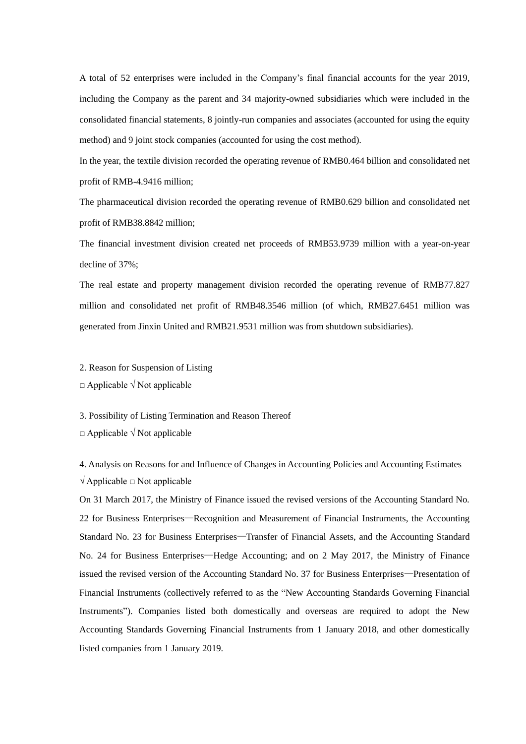A total of 52 enterprises were included in the Company's final financial accounts for the year 2019, including the Company as the parent and 34 majority-owned subsidiaries which were included in the consolidated financial statements, 8 jointly-run companies and associates (accounted for using the equity method) and 9 joint stock companies (accounted for using the cost method).

In the year, the textile division recorded the operating revenue of RMB0.464 billion and consolidated net profit of RMB-4.9416 million;

The pharmaceutical division recorded the operating revenue of RMB0.629 billion and consolidated net profit of RMB38.8842 million;

The financial investment division created net proceeds of RMB53.9739 million with a year-on-year decline of 37%;

The real estate and property management division recorded the operating revenue of RMB77.827 million and consolidated net profit of RMB48.3546 million (of which, RMB27.6451 million was generated from Jinxin United and RMB21.9531 million was from shutdown subsidiaries).

2. Reason for Suspension of Listing

 $\Box$  Applicable  $\sqrt{N}$  Not applicable

3. Possibility of Listing Termination and Reason Thereof

□ Applicable √ Not applicable

4. Analysis on Reasons for and Influence of Changes in Accounting Policies and Accounting Estimates  $\sqrt{\text{Applied}}$   $\Box$  Not applicable

On 31 March 2017, the Ministry of Finance issued the revised versions of the Accounting Standard No. 22 for Business Enterprises—Recognition and Measurement of Financial Instruments, the Accounting Standard No. 23 for Business Enterprises—Transfer of Financial Assets, and the Accounting Standard No. 24 for Business Enterprises—Hedge Accounting; and on 2 May 2017, the Ministry of Finance issued the revised version of the Accounting Standard No. 37 for Business Enterprises—Presentation of Financial Instruments (collectively referred to as the "New Accounting Standards Governing Financial Instruments"). Companies listed both domestically and overseas are required to adopt the New Accounting Standards Governing Financial Instruments from 1 January 2018, and other domestically listed companies from 1 January 2019.